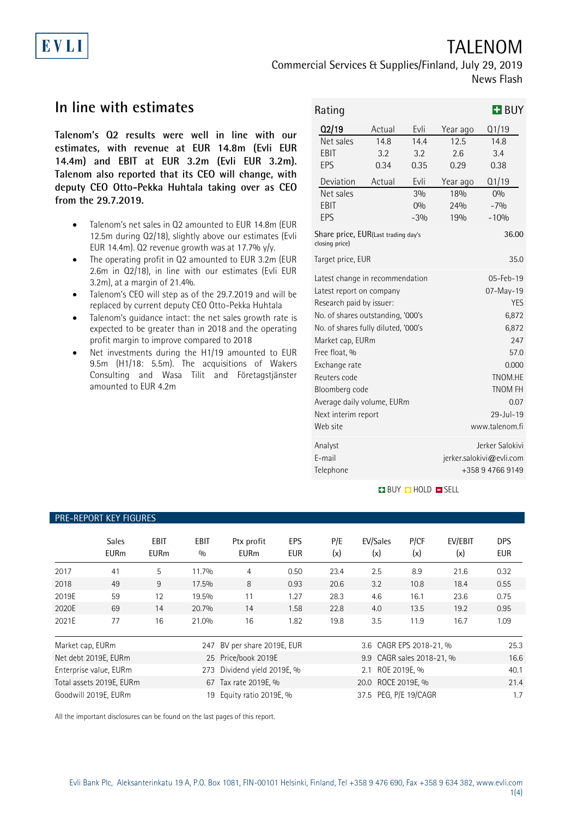# TALENOM

Commercial Services & Supplies/Finland, July 29, 2019 News Flash

## **In line with estimates**

**Talenom's Q2 results were well in line with our estimates, with revenue at EUR 14.8m (Evli EUR 14.4m) and EBIT at EUR 3.2m (Evli EUR 3.2m). Talenom also reported that its CEO will change, with deputy CEO Otto-Pekka Huhtala taking over as CEO from the 29.7.2019.**

- Talenom's net sales in Q2 amounted to EUR 14.8m (EUR 12.5m during Q2/18), slightly above our estimates (Evli EUR 14.4m). Q2 revenue growth was at 17.7%  $y/y$ .
- The operating profit in Q2 amounted to EUR 3.2m (EUR 2.6m in Q2/18), in line with our estimates (Evli EUR 3.2m), at a margin of 21.4%.
- Talenom's CEO will step as of the 29.7.2019 and will be replaced by current deputy CEO Otto-Pekka Huhtala
- Talenom's guidance intact: the net sales growth rate is expected to be greater than in 2018 and the operating profit margin to improve compared to 2018
- Net investments during the H1/19 amounted to EUR 9.5m (H1/18: 5.5m). The acquisitions of Wakers Consulting and Wasa Tilit and Företagstjänster amounted to EUR 4.2m

| Rating                                                |        |                 |                          | $H$ BUY |  |
|-------------------------------------------------------|--------|-----------------|--------------------------|---------|--|
| Q2/19                                                 | Actual | Evli            | Year ago                 | Q1/19   |  |
| Net sales                                             | 14.8   | 14.4            | 12.5                     | 14.8    |  |
| EBIT                                                  | 3.2    | 3.2             | 2.6                      | 3.4     |  |
| EPS                                                   | 0.34   | 0.35            | 0.29                     | 0.38    |  |
| Deviation                                             | Actual | Evli            | Year ago                 | Q1/19   |  |
| Net sales                                             |        | 30 <sub>0</sub> | 18%                      | 0%      |  |
| EBIT                                                  |        | 0%              | 24%                      | $-7%$   |  |
| EPS                                                   |        | $-3%$           | 19%                      | $-10%$  |  |
| Share price, EUR(Last trading day's<br>closing price) |        |                 | 36.00                    |         |  |
| Target price, EUR                                     |        | 35.0            |                          |         |  |
| Latest change in recommendation                       |        |                 | 05-Feb-19                |         |  |
| Latest report on company                              |        |                 | $07 - May - 19$          |         |  |
| Research paid by issuer:                              |        |                 | <b>YES</b>               |         |  |
| No. of shares outstanding, '000's                     |        |                 | 6,872                    |         |  |
| No. of shares fully diluted, '000's                   |        |                 | 6,872                    |         |  |
| Market cap, EURm                                      |        |                 | 247                      |         |  |
| Free float, %                                         |        |                 | 57.0                     |         |  |
| Exchange rate                                         |        |                 | 0.000                    |         |  |
| Reuters code                                          |        |                 | TNOM.HE                  |         |  |
| Bloomberg code                                        |        |                 | <b>TNOM FH</b>           |         |  |
| Average daily volume, EURm                            |        |                 | 0.07                     |         |  |
| Next interim report                                   |        |                 | $29 -  u  - 19$          |         |  |
| Web site                                              |        |                 | www.talenom.fi           |         |  |
| Analyst                                               |        |                 | Jerker Salokivi          |         |  |
| F-mail                                                |        |                 | jerker.salokivi@evli.com |         |  |
| Telephone                                             |        |                 | +358 9 4766 9149         |         |  |

#### **BUY DHOLD DISELL**

#### PRE-REPORT KEY FIGURES

|                  | <b>Sales</b><br><b>EURm</b> | EBIT<br><b>EURm</b> | <b>EBIT</b><br>0/0 | Ptx profit<br><b>EURm</b> | EPS<br><b>EUR</b> | P/E<br>(x) | EV/Sales<br>(x)           | P/CF<br>(x)  | EV/EBIT<br>(x) | <b>DPS</b><br><b>EUR</b> |
|------------------|-----------------------------|---------------------|--------------------|---------------------------|-------------------|------------|---------------------------|--------------|----------------|--------------------------|
| 2017             | 41                          | 5                   | 11.7%              | 4                         | 0.50              | 23.4       | 2.5                       | 8.9          | 21.6           | 0.32                     |
| 2018             | 49                          | 9                   | 17.5%              | 8                         | 0.93              | 20.6       | 3.2                       | 10.8         | 18.4           | 0.55                     |
| 2019E            | 59                          | 12                  | 19.5%              | 11                        | 1.27              | 28.3       | 4.6                       | 16.1         | 23.6           | 0.75                     |
| 2020E            | 69                          | 14                  | 20.7%              | 14                        | 1.58              | 22.8       | 4.0                       | 13.5         | 19.2           | 0.95                     |
| 2021E            | 77                          | 16                  | 21.0%              | 16                        | 1.82              | 19.8       | 3.5                       | 11.9         | 16.7           | 1.09                     |
| Market cap, EURm |                             |                     | 247                | BV per share 2019E, EUR   |                   |            | 3.6 CAGR EPS 2018-21, %   |              |                | 25.3                     |
|                  | Net debt 2019E, EURm        |                     |                    | 25 Price/book 2019E       |                   |            | 9.9 CAGR sales 2018-21, % |              |                | 16.6                     |
|                  | Enterprise value, EURm      |                     | 273                | Dividend yield 2019E, %   |                   |            | 2.1                       | ROE 2019E. % |                | 40.1                     |
|                  | Total assets 2019E, EURm    |                     |                    | 67 Tax rate 2019E, %      |                   |            | 20.0 ROCE 2019E, %        |              |                | 21.4                     |
|                  | Goodwill 2019E. EURm        |                     | 19                 | Equity ratio 2019E, %     |                   |            | 37.5 PEG. P/E 19/CAGR     |              |                | 1.7                      |

All the important disclosures can be found on the last pages of this report.

EVLI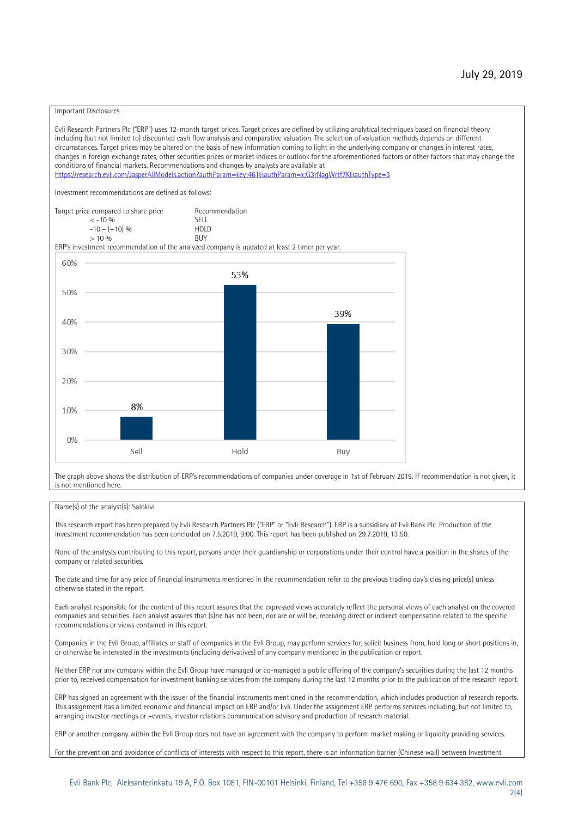#### Important Disclosures

Evli Research Partners Plc ("ERP") uses 12-month target prices. Target prices are defined by utilizing analytical techniques based on financial theory including (but not limited to) discounted cash flow analysis and comparative valuation. The selection of valuation methods depends on different circumstances. Target prices may be altered on the basis of new information coming to light in the underlying company or changes in interest rates, changes in foreign exchange rates, other securities prices or market indices or outlook for the aforementioned factors or other factors that may change the conditions of financial markets. Recommendations and changes by analysts are available at https://research.evli.com/JasperAllModels.action?authParam=key;461&tauthParam=x;G3rNagWrtf7K&tauthType=3 Investment recommendations are defined as follows: Target price compared to share price Recommendation<br>  $\epsilon$  -10 % < -10 % SELL  $-10 - (+10) \%$  HOL<br>  $> 10 \%$  RIJY  $> 10 \frac{0}{0}$ ERP's investment recommendation of the analyzed company is updated at least 2 timer per year. 60% 53% 50% 39% 40% 30% 20% 8% 10% 0% Sell Hold Buy

The graph above shows the distribution of ERP's recommendations of companies under coverage in 1st of February 2019. If recommendation is not given, it is not mentioned here.

#### Name(s) of the analyst(s): Salokivi

This research report has been prepared by Evli Research Partners Plc ("ERP" or "Evli Research"). ERP is a subsidiary of Evli Bank Plc. Production of the investment recommendation has been concluded on 7.5.2019, 9:00. This report has been published on 29.7.2019, 13:50.

None of the analysts contributing to this report, persons under their guardianship or corporations under their control have a position in the shares of the company or related securities.

The date and time for any price of financial instruments mentioned in the recommendation refer to the previous trading day's closing price(s) unless otherwise stated in the report.

Each analyst responsible for the content of this report assures that the expressed views accurately reflect the personal views of each analyst on the covered companies and securities. Each analyst assures that (s)he has not been, nor are or will be, receiving direct or indirect compensation related to the specific recommendations or views contained in this report.

Companies in the Evli Group, affiliates or staff of companies in the Evli Group, may perform services for, solicit business from, hold long or short positions in, or otherwise be interested in the investments (including derivatives) of any company mentioned in the publication or report.

Neither ERP nor any company within the Evli Group have managed or co-managed a public offering of the company's securities during the last 12 months prior to, received compensation for investment banking services from the company during the last 12 months prior to the publication of the research report.

ERP has signed an agreement with the issuer of the financial instruments mentioned in the recommendation, which includes production of research reports. This assignment has a limited economic and financial impact on ERP and/or Evli. Under the assignment ERP performs services including, but not limited to, arranging investor meetings or –events, investor relations communication advisory and production of research material.

ERP or another company within the Evli Group does not have an agreement with the company to perform market making or liquidity providing services.

For the prevention and avoidance of conflicts of interests with respect to this report, there is an information barrier (Chinese wall) between Investment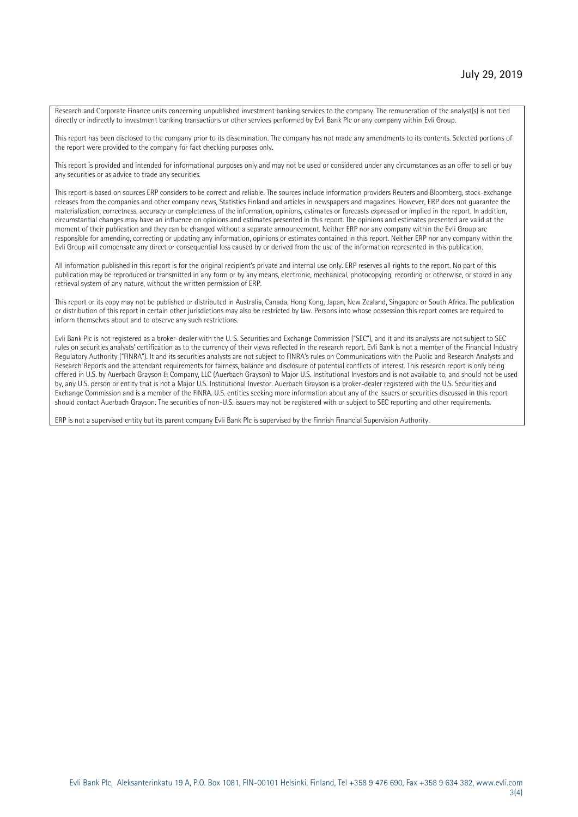Research and Corporate Finance units concerning unpublished investment banking services to the company. The remuneration of the analyst(s) is not tied directly or indirectly to investment banking transactions or other services performed by Evli Bank Plc or any company within Evli Group.

This report has been disclosed to the company prior to its dissemination. The company has not made any amendments to its contents. Selected portions of the report were provided to the company for fact checking purposes only.

This report is provided and intended for informational purposes only and may not be used or considered under any circumstances as an offer to sell or buy any securities or as advice to trade any securities.

This report is based on sources ERP considers to be correct and reliable. The sources include information providers Reuters and Bloomberg, stock-exchange releases from the companies and other company news, Statistics Finland and articles in newspapers and magazines. However, ERP does not guarantee the materialization, correctness, accuracy or completeness of the information, opinions, estimates or forecasts expressed or implied in the report. In addition, circumstantial changes may have an influence on opinions and estimates presented in this report. The opinions and estimates presented are valid at the moment of their publication and they can be changed without a separate announcement. Neither ERP nor any company within the Evli Group are responsible for amending, correcting or updating any information, opinions or estimates contained in this report. Neither ERP nor any company within the Evli Group will compensate any direct or consequential loss caused by or derived from the use of the information represented in this publication.

All information published in this report is for the original recipient's private and internal use only. ERP reserves all rights to the report. No part of this publication may be reproduced or transmitted in any form or by any means, electronic, mechanical, photocopying, recording or otherwise, or stored in any retrieval system of any nature, without the written permission of ERP.

This report or its copy may not be published or distributed in Australia, Canada, Hong Kong, Japan, New Zealand, Singapore or South Africa. The publication or distribution of this report in certain other jurisdictions may also be restricted by law. Persons into whose possession this report comes are required to inform themselves about and to observe any such restrictions.

Evli Bank Plc is not registered as a broker-dealer with the U. S. Securities and Exchange Commission ("SEC"), and it and its analysts are not subject to SEC rules on securities analysts' certification as to the currency of their views reflected in the research report. Evli Bank is not a member of the Financial Industry Regulatory Authority ("FINRA"). It and its securities analysts are not subject to FINRA's rules on Communications with the Public and Research Analysts and Research Reports and the attendant requirements for fairness, balance and disclosure of potential conflicts of interest. This research report is only being offered in U.S. by Auerbach Grayson & Company, LLC (Auerbach Grayson) to Major U.S. Institutional Investors and is not available to, and should not be used by, any U.S. person or entity that is not a Major U.S. Institutional Investor. Auerbach Grayson is a broker-dealer registered with the U.S. Securities and Exchange Commission and is a member of the FINRA. U.S. entities seeking more information about any of the issuers or securities discussed in this report should contact Auerbach Grayson. The securities of non-U.S. issuers may not be registered with or subject to SEC reporting and other requirements.

ERP is not a supervised entity but its parent company Evli Bank Plc is supervised by the Finnish Financial Supervision Authority.